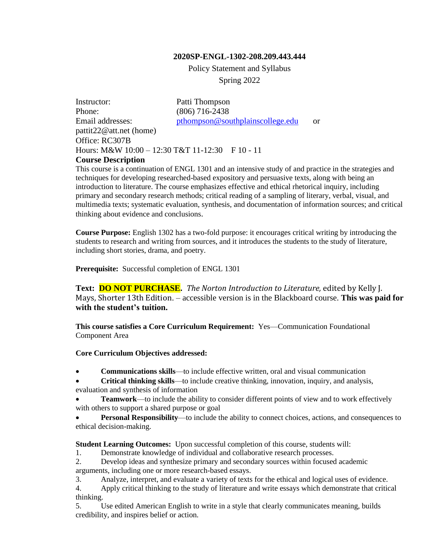#### **2020SP-ENGL-1302-208.209.443.444**

Policy Statement and Syllabus Spring 2022

Instructor: Patti Thompson Phone: (806) 716-2438 Email addresses: [pthompson@southplainscollege.edu](mailto:pthompson@southplainscollege.edu) or pattit22@att.net (home) Office: RC307B Hours: M&W 10:00 - 12:30 T&T 11-12:30 F 10 - 11 **Course Description**

This course is a continuation of ENGL 1301 and an intensive study of and practice in the strategies and techniques for developing researched-based expository and persuasive texts, along with being an introduction to literature. The course emphasizes effective and ethical rhetorical inquiry, including primary and secondary research methods; critical reading of a sampling of literary, verbal, visual, and multimedia texts; systematic evaluation, synthesis, and documentation of information sources; and critical thinking about evidence and conclusions.

**Course Purpose:** English 1302 has a two-fold purpose: it encourages critical writing by introducing the students to research and writing from sources, and it introduces the students to the study of literature, including short stories, drama, and poetry.

**Prerequisite:** Successful completion of ENGL 1301

**Text: DO NOT PURCHASE.** *The Norton Introduction to Literature,* edited by Kelly J. Mays, Shorter 13th Edition. – accessible version is in the Blackboard course. **This was paid for with the student's tuition.**

**This course satisfies a Core Curriculum Requirement:** Yes—Communication Foundational Component Area

#### **Core Curriculum Objectives addressed:**

• **Communications skills**—to include effective written, oral and visual communication

• **Critical thinking skills**—to include creative thinking, innovation, inquiry, and analysis, evaluation and synthesis of information

• **Teamwork**—to include the ability to consider different points of view and to work effectively with others to support a shared purpose or goal

**Personal Responsibility—to include the ability to connect choices, actions, and consequences to** ethical decision-making.

**Student Learning Outcomes:** Upon successful completion of this course, students will:

1. Demonstrate knowledge of individual and collaborative research processes.

2. Develop ideas and synthesize primary and secondary sources within focused academic arguments, including one or more research-based essays.

3. Analyze, interpret, and evaluate a variety of texts for the ethical and logical uses of evidence.

4. Apply critical thinking to the study of literature and write essays which demonstrate that critical thinking.

5. Use edited American English to write in a style that clearly communicates meaning, builds credibility, and inspires belief or action.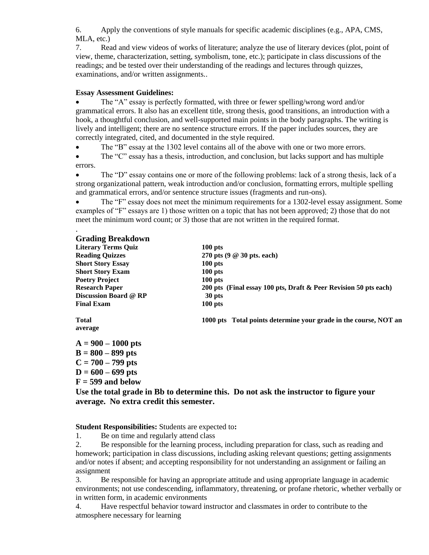6. Apply the conventions of style manuals for specific academic disciplines (e.g., APA, CMS, MLA, etc.)

7. Read and view videos of works of literature; analyze the use of literary devices (plot, point of view, theme, characterization, setting, symbolism, tone, etc.); participate in class discussions of the readings; and be tested over their understanding of the readings and lectures through quizzes, examinations, and/or written assignments..

#### **Essay Assessment Guidelines:**

• The "A" essay is perfectly formatted, with three or fewer spelling/wrong word and/or grammatical errors. It also has an excellent title, strong thesis, good transitions, an introduction with a hook, a thoughtful conclusion, and well-supported main points in the body paragraphs. The writing is lively and intelligent; there are no sentence structure errors. If the paper includes sources, they are correctly integrated, cited, and documented in the style required.

• The "B" essay at the 1302 level contains all of the above with one or two more errors.

• The "C" essay has a thesis, introduction, and conclusion, but lacks support and has multiple errors.

• The "D" essay contains one or more of the following problems: lack of a strong thesis, lack of a strong organizational pattern, weak introduction and/or conclusion, formatting errors, multiple spelling and grammatical errors, and/or sentence structure issues (fragments and run-ons).

• The "F" essay does not meet the minimum requirements for a 1302-level essay assignment. Some examples of "F" essays are 1) those written on a topic that has not been approved; 2) those that do not meet the minimum word count; or 3) those that are not written in the required format.

#### **Grading Breakdown**

.

| <b>Literary Terms Ouiz</b>   | $100$ pts                                                        |
|------------------------------|------------------------------------------------------------------|
| <b>Reading Quizzes</b>       | 270 pts $(9 \oslash 30$ pts. each)                               |
| <b>Short Story Essay</b>     | $100$ pts                                                        |
| <b>Short Story Exam</b>      | $100$ pts                                                        |
| <b>Poetry Project</b>        | $100$ pts                                                        |
| <b>Research Paper</b>        | 200 pts (Final essay 100 pts, Draft & Peer Revision 50 pts each) |
| <b>Discussion Board @ RP</b> | 30 pts                                                           |
| <b>Final Exam</b>            | $100$ pts                                                        |
| Total                        | 1000 pts Total points determine your grade in the course, NOT an |
| average                      |                                                                  |
| $A = 900 - 1000$ pts         |                                                                  |
| $B = 800 - 899$ pts          |                                                                  |
|                              |                                                                  |
| $C = 700 - 799$ pts          |                                                                  |

**D = 600 – 699 pts**

**F = 599 and below**

**Use the total grade in Bb to determine this. Do not ask the instructor to figure your average. No extra credit this semester.**

**Student Responsibilities:** Students are expected to**:**

1. Be on time and regularly attend class

2. Be responsible for the learning process, including preparation for class, such as reading and homework; participation in class discussions, including asking relevant questions; getting assignments and/or notes if absent; and accepting responsibility for not understanding an assignment or failing an assignment

3. Be responsible for having an appropriate attitude and using appropriate language in academic environments; not use condescending, inflammatory, threatening, or profane rhetoric, whether verbally or in written form, in academic environments

4. Have respectful behavior toward instructor and classmates in order to contribute to the atmosphere necessary for learning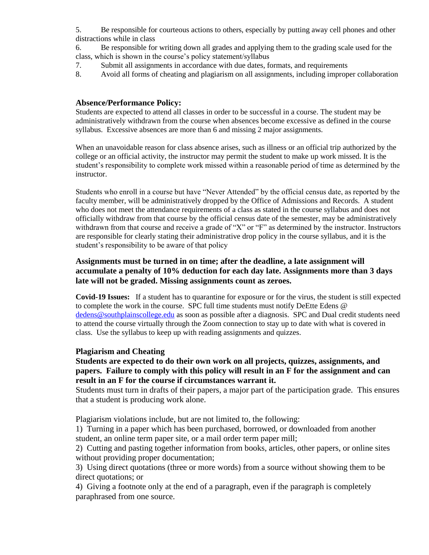5. Be responsible for courteous actions to others, especially by putting away cell phones and other distractions while in class

6. Be responsible for writing down all grades and applying them to the grading scale used for the class, which is shown in the course's policy statement/syllabus

- 7. Submit all assignments in accordance with due dates, formats, and requirements
- 8. Avoid all forms of cheating and plagiarism on all assignments, including improper collaboration

### **Absence/Performance Policy:**

Students are expected to attend all classes in order to be successful in a course. The student may be administratively withdrawn from the course when absences become excessive as defined in the course syllabus. Excessive absences are more than 6 and missing 2 major assignments.

When an unavoidable reason for class absence arises, such as illness or an official trip authorized by the college or an official activity, the instructor may permit the student to make up work missed. It is the student's responsibility to complete work missed within a reasonable period of time as determined by the instructor.

Students who enroll in a course but have "Never Attended" by the official census date, as reported by the faculty member, will be administratively dropped by the Office of Admissions and Records. A student who does not meet the attendance requirements of a class as stated in the course syllabus and does not officially withdraw from that course by the official census date of the semester, may be administratively withdrawn from that course and receive a grade of "X" or "F" as determined by the instructor. Instructors are responsible for clearly stating their administrative drop policy in the course syllabus, and it is the student's responsibility to be aware of that policy

### **Assignments must be turned in on time; after the deadline, a late assignment will accumulate a penalty of 10% deduction for each day late. Assignments more than 3 days late will not be graded. Missing assignments count as zeroes.**

**Covid-19 Issues:** If a student has to quarantine for exposure or for the virus, the student is still expected to complete the work in the course. SPC full time students must notify DeEtte Edens @ [dedens@southplainscollege.edu](mailto:dedens@southplainscollege.edu) as soon as possible after a diagnosis. SPC and Dual credit students need to attend the course virtually through the Zoom connection to stay up to date with what is covered in class. Use the syllabus to keep up with reading assignments and quizzes.

#### **Plagiarism and Cheating**

### **Students are expected to do their own work on all projects, quizzes, assignments, and papers. Failure to comply with this policy will result in an F for the assignment and can result in an F for the course if circumstances warrant it.**

Students must turn in drafts of their papers, a major part of the participation grade. This ensures that a student is producing work alone.

Plagiarism violations include, but are not limited to, the following:

1) Turning in a paper which has been purchased, borrowed, or downloaded from another student, an online term paper site, or a mail order term paper mill;

2) Cutting and pasting together information from books, articles, other papers, or online sites without providing proper documentation;

3) Using direct quotations (three or more words) from a source without showing them to be direct quotations; or

4) Giving a footnote only at the end of a paragraph, even if the paragraph is completely paraphrased from one source.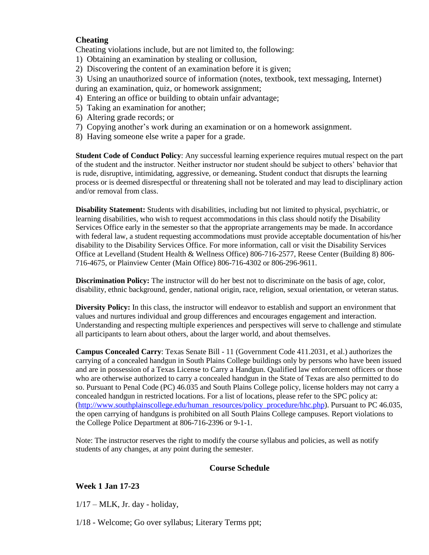### **Cheating**

Cheating violations include, but are not limited to, the following:

- 1) Obtaining an examination by stealing or collusion,
- 2) Discovering the content of an examination before it is given;
- 3) Using an unauthorized source of information (notes, textbook, text messaging, Internet)
- during an examination, quiz, or homework assignment;
- 4) Entering an office or building to obtain unfair advantage;
- 5) Taking an examination for another;
- 6) Altering grade records; or
- 7) Copying another's work during an examination or on a homework assignment.
- 8) Having someone else write a paper for a grade.

**Student Code of Conduct Policy**: Any successful learning experience requires mutual respect on the part of the student and the instructor. Neither instructor nor student should be subject to others' behavior that is rude, disruptive, intimidating, aggressive, or demeaning**.** Student conduct that disrupts the learning process or is deemed disrespectful or threatening shall not be tolerated and may lead to disciplinary action and/or removal from class.

**Disability Statement:** Students with disabilities, including but not limited to physical, psychiatric, or learning disabilities, who wish to request accommodations in this class should notify the Disability Services Office early in the semester so that the appropriate arrangements may be made. In accordance with federal law, a student requesting accommodations must provide acceptable documentation of his/her disability to the Disability Services Office. For more information, call or visit the Disability Services Office at Levelland (Student Health & Wellness Office) 806-716-2577, Reese Center (Building 8) 806- 716-4675, or Plainview Center (Main Office) 806-716-4302 or 806-296-9611.

**Discrimination Policy:** The instructor will do her best not to discriminate on the basis of age, color, disability, ethnic background, gender, national origin, race, religion, sexual orientation, or veteran status.

**Diversity Policy:** In this class, the instructor will endeavor to establish and support an environment that values and nurtures individual and group differences and encourages engagement and interaction. Understanding and respecting multiple experiences and perspectives will serve to challenge and stimulate all participants to learn about others, about the larger world, and about themselves.

**Campus Concealed Carry**: Texas Senate Bill - 11 (Government Code 411.2031, et al.) authorizes the carrying of a concealed handgun in South Plains College buildings only by persons who have been issued and are in possession of a Texas License to Carry a Handgun. Qualified law enforcement officers or those who are otherwise authorized to carry a concealed handgun in the State of Texas are also permitted to do so. Pursuant to Penal Code (PC) 46.035 and South Plains College policy, license holders may not carry a concealed handgun in restricted locations. For a list of locations, please refer to the SPC policy at: [\(http://www.southplainscollege.edu/human\\_resources/policy\\_procedure/hhc.php\)](http://www.southplainscollege.edu/human_resources/policy_procedure/hhc.php). Pursuant to PC 46.035, the open carrying of handguns is prohibited on all South Plains College campuses. Report violations to the College Police Department at 806-716-2396 or 9-1-1.

Note: The instructor reserves the right to modify the course syllabus and policies, as well as notify students of any changes, at any point during the semester.

# **Course Schedule**

# **Week 1 Jan 17-23**

 $1/17$  – MLK, Jr. day - holiday,

1/18 - Welcome; Go over syllabus; Literary Terms ppt;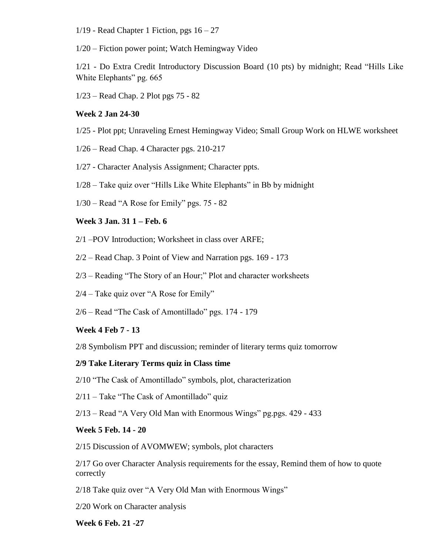$1/19$  - Read Chapter 1 Fiction, pgs  $16 - 27$ 

1/20 – Fiction power point; Watch Hemingway Video

1/21 - Do Extra Credit Introductory Discussion Board (10 pts) by midnight; Read "Hills Like White Elephants" pg. 665

1/23 – Read Chap. 2 Plot pgs 75 - 82

### **Week 2 Jan 24-30**

- 1/25 Plot ppt; Unraveling Ernest Hemingway Video; Small Group Work on HLWE worksheet
- 1/26 Read Chap. 4 Character pgs. 210-217
- 1/27 Character Analysis Assignment; Character ppts.
- 1/28 Take quiz over "Hills Like White Elephants" in Bb by midnight
- 1/30 Read "A Rose for Emily" pgs. 75 82

#### **Week 3 Jan. 31 1 – Feb. 6**

- 2/1 –POV Introduction; Worksheet in class over ARFE;
- 2/2 Read Chap. 3 Point of View and Narration pgs. 169 173
- 2/3 Reading "The Story of an Hour;" Plot and character worksheets
- 2/4 Take quiz over "A Rose for Emily"
- 2/6 Read "The Cask of Amontillado" pgs. 174 179

#### **Week 4 Feb 7 - 13**

2/8 Symbolism PPT and discussion; reminder of literary terms quiz tomorrow

#### **2/9 Take Literary Terms quiz in Class time**

- 2/10 "The Cask of Amontillado" symbols, plot, characterization
- $2/11$  Take "The Cask of Amontillado" quiz
- 2/13 Read "A Very Old Man with Enormous Wings" pg.pgs. 429 433

### **Week 5 Feb. 14 - 20**

2/15 Discussion of AVOMWEW; symbols, plot characters

2/17 Go over Character Analysis requirements for the essay, Remind them of how to quote correctly

2/18 Take quiz over "A Very Old Man with Enormous Wings"

2/20 Work on Character analysis

**Week 6 Feb. 21 -27**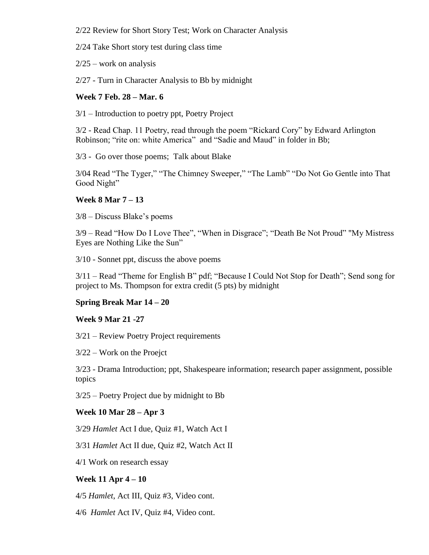2/22 Review for Short Story Test; Work on Character Analysis

2/24 Take Short story test during class time

 $2/25$  – work on analysis

2/27 - Turn in Character Analysis to Bb by midnight

### **Week 7 Feb. 28 – Mar. 6**

3/1 – Introduction to poetry ppt, Poetry Project

3/2 - Read Chap. 11 Poetry, read through the poem "Rickard Cory" by Edward Arlington Robinson; "rite on: white America" and "Sadie and Maud" in folder in Bb;

3/3 - Go over those poems; Talk about Blake

3/04 Read "The Tyger," "The Chimney Sweeper," "The Lamb" "Do Not Go Gentle into That Good Night"

# **Week 8 Mar 7 – 13**

3/8 – Discuss Blake's poems

3/9 – Read "How Do I Love Thee", "When in Disgrace"; "Death Be Not Proud" "My Mistress Eyes are Nothing Like the Sun"

3/10 - Sonnet ppt, discuss the above poems

3/11 – Read "Theme for English B" pdf; "Because I Could Not Stop for Death"; Send song for project to Ms. Thompson for extra credit (5 pts) by midnight

# **Spring Break Mar 14 – 20**

# **Week 9 Mar 21 -27**

3/21 – Review Poetry Project requirements

3/22 – Work on the Proejct

3/23 - Drama Introduction; ppt, Shakespeare information; research paper assignment, possible topics

3/25 – Poetry Project due by midnight to Bb

# **Week 10 Mar 28 – Apr 3**

3/29 *Hamlet* Act I due, Quiz #1, Watch Act I

3/31 *Hamlet* Act II due, Quiz #2, Watch Act II

4/1 Work on research essay

# **Week 11 Apr 4 – 10**

4/5 *Hamlet*, Act III, Quiz #3, Video cont.

4/6 *Hamlet* Act IV, Quiz #4, Video cont.